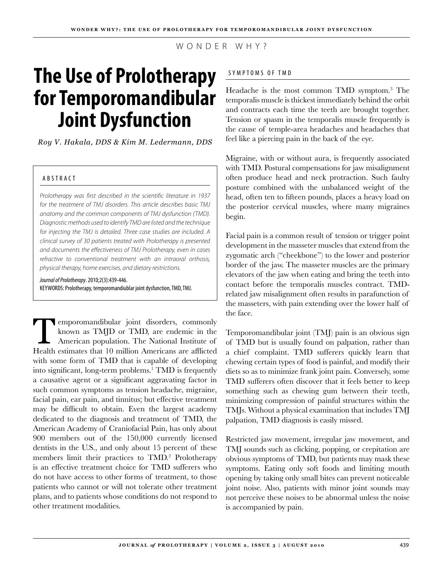WONDER WHY?

# **The Use of Prolotherapy for Temporomandibular Joint Dysfunction**

*Roy V. Hakala, DDS & Kim M. Ledermann, DDS*

## A B S T RAC T

*Prolotherapy was first described in the scientific literature in 1937 for the treatment of TMJ disorders. This article describes basic TMJ anatomy and the common components of TMJ dysfunction (TMD). Diagnostic methods used to identify TMD are listed and the technique for injecting the TMJ is detailed. Three case studies are included. A clinical survey of 30 patients treated with Prolotherapy is presented and documents the effectiveness of TMJ Prolotherapy, even in cases refractive to conventional treatment with an intraoral orthosis, physical therapy, home exercises, and dietary restrictions.*

*Journal of Prolotherapy*. 2010;2(3):439-446. KEYWORDS: Prolotherapy, temporomandiublar joint dysfunction, TMD, TMJ.

Temporomandibular joint disorders, commonly known as TMJD or TMD, are endemic in the American population. The National Institute of Health estimates that 10 million Americans are afflicted with some form of TMD that is capable of developing into significant, long-term problems.<sup>1</sup> TMD is frequently a causative agent or a significant aggravating factor in such common symptoms as tension headache, migraine, facial pain, ear pain, and tinnitus; but effective treatment may be difficult to obtain. Even the largest academy dedicated to the diagnosis and treatment of TMD, the American Academy of Craniofacial Pain, has only about 900 members out of the 150,000 currently licensed dentists in the U.S., and only about 15 percent of these members limit their practices to TMD.<sup>2</sup> Prolotherapy is an effective treatment choice for TMD sufferers who do not have access to other forms of treatment, to those patients who cannot or will not tolerate other treatment plans, and to patients whose conditions do not respond to other treatment modalities.

## SYMPTOMS OF TMD

Headache is the most common TMD symptom.3 The temporalis muscle is thickest immediately behind the orbit and contracts each time the teeth are brought together. Tension or spasm in the temporalis muscle frequently is the cause of temple-area headaches and headaches that feel like a piercing pain in the back of the eye.

Migraine, with or without aura, is frequently associated with TMD. Postural compensations for jaw misalignment often produce head and neck protraction. Such faulty posture combined with the unbalanced weight of the head, often ten to fifteen pounds, places a heavy load on the posterior cervical muscles, where many migraines begin.

Facial pain is a common result of tension or trigger point development in the masseter muscles that extend from the zygomatic arch ("cheekbone") to the lower and posterior border of the jaw. The masseter muscles are the primary elevators of the jaw when eating and bring the teeth into contact before the temporalis muscles contract. TMDrelated jaw misalignment often results in parafunction of the masseters, with pain extending over the lower half of the face.

Temporomandibular joint (TMJ) pain is an obvious sign of TMD but is usually found on palpation, rather than a chief complaint. TMD sufferers quickly learn that chewing certain types of food is painful, and modify their diets so as to minimize frank joint pain. Conversely, some TMD sufferers often discover that it feels better to keep something such as chewing gum between their teeth, minimizing compression of painful structures within the TMJs. Without a physical examination that includes TMJ palpation, TMD diagnosis is easily missed.

Restricted jaw movement, irregular jaw movement, and TMJ sounds such as clicking, popping, or crepitation are obvious symptoms of TMD, but patients may mask these symptoms. Eating only soft foods and limiting mouth opening by taking only small bites can prevent noticeable joint noise. Also, patients with minor joint sounds may not perceive these noises to be abnormal unless the noise is accompanied by pain.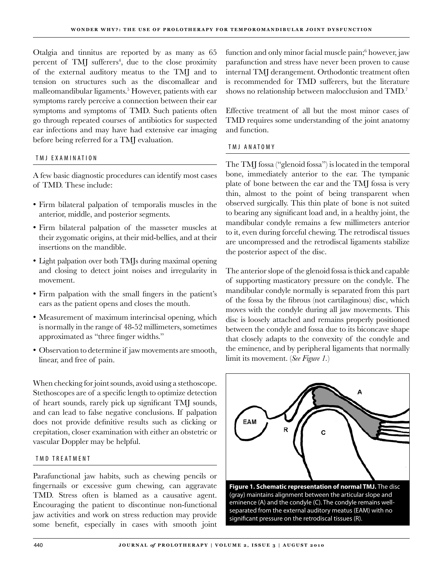Otalgia and tinnitus are reported by as many as 65 percent of TMJ sufferers<sup>4</sup>, due to the close proximity of the external auditory meatus to the TMJ and to tension on structures such as the discomallear and malleomandibular ligaments.<sup>5</sup> However, patients with ear symptoms rarely perceive a connection between their ear symptoms and symptoms of TMD. Such patients often go through repeated courses of antibiotics for suspected ear infections and may have had extensive ear imaging before being referred for a TMJ evaluation.

#### T M J E X A M INA T ION

A few basic diagnostic procedures can identify most cases of TMD. These include:

- Firm bilateral palpation of temporalis muscles in the anterior, middle, and posterior segments.
- Firm bilateral palpation of the masseter muscles at their zygomatic origins, at their mid-bellies, and at their insertions on the mandible.
- Light palpation over both TMJs during maximal opening and closing to detect joint noises and irregularity in movement.
- Firm palpation with the small fingers in the patient's ears as the patient opens and closes the mouth.
- Measurement of maximum interincisal opening, which is normally in the range of 48-52 millimeters, sometimes approximated as "three finger widths."
- Observation to determine if jaw movements are smooth, linear, and free of pain.

When checking for joint sounds, avoid using a stethoscope. Stethoscopes are of a specific length to optimize detection of heart sounds, rarely pick up significant TMJ sounds, and can lead to false negative conclusions. If palpation does not provide definitive results such as clicking or crepitation, closer examination with either an obstetric or vascular Doppler may be helpful.

#### TMD TREATMENT

Parafunctional jaw habits, such as chewing pencils or fingernails or excessive gum chewing, can aggravate TMD. Stress often is blamed as a causative agent. Encouraging the patient to discontinue non-functional jaw activities and work on stress reduction may provide some benefit, especially in cases with smooth joint

function and only minor facial muscle pain;6 however, jaw parafunction and stress have never been proven to cause internal TMJ derangement. Orthodontic treatment often is recommended for TMD sufferers, but the literature shows no relationship between malocclusion and TMD.<sup>7</sup>

Effective treatment of all but the most minor cases of TMD requires some understanding of the joint anatomy and function.

#### TMJ ANATOMY

The TMJ fossa ("glenoid fossa") is located in the temporal bone, immediately anterior to the ear. The tympanic plate of bone between the ear and the TMJ fossa is very thin, almost to the point of being transparent when observed surgically. This thin plate of bone is not suited to bearing any significant load and, in a healthy joint, the mandibular condyle remains a few millimeters anterior to it, even during forceful chewing. The retrodiscal tissues are uncompressed and the retrodiscal ligaments stabilize the posterior aspect of the disc.

The anterior slope of the glenoid fossa is thick and capable of supporting masticatory pressure on the condyle. The mandibular condyle normally is separated from this part of the fossa by the fibrous (not cartilaginous) disc, which moves with the condyle during all jaw movements. This disc is loosely attached and remains properly positioned between the condyle and fossa due to its biconcave shape that closely adapts to the convexity of the condyle and the eminence, and by peripheral ligaments that normally limit its movement. (*See Figure 1.*)



**Figure 1. Schematic representation of normal TMJ.** The disc (gray) maintains alignment between the articular slope and eminence (A) and the condyle (C). The condyle remains wellseparated from the external auditory meatus (EAM) with no significant pressure on the retrodiscal tissues (R).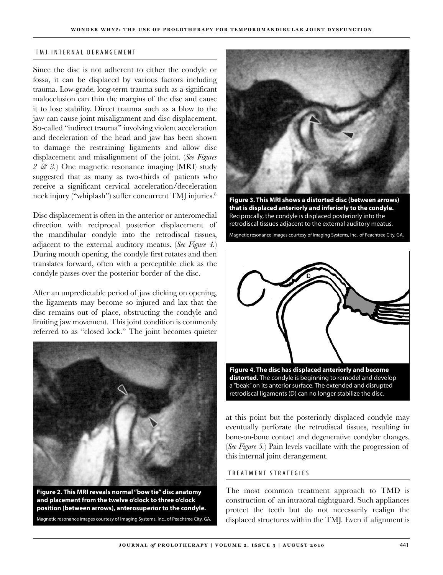#### TMJ INTERNAL DERANGEMENT

Since the disc is not adherent to either the condyle or fossa, it can be displaced by various factors including trauma. Low-grade, long-term trauma such as a significant malocclusion can thin the margins of the disc and cause it to lose stability. Direct trauma such as a blow to the jaw can cause joint misalignment and disc displacement. So-called "indirect trauma" involving violent acceleration and deceleration of the head and jaw has been shown to damage the restraining ligaments and allow disc displacement and misalignment of the joint. (*See Figures 2 & 3.*) One magnetic resonance imaging (MRI) study suggested that as many as two-thirds of patients who receive a significant cervical acceleration/deceleration neck injury ("whiplash") suffer concurrent TMJ injuries.<sup>8</sup>

Disc displacement is often in the anterior or anteromedial direction with reciprocal posterior displacement of the mandibular condyle into the retrodiscal tissues, adjacent to the external auditory meatus. (*See Figure 4.*) During mouth opening, the condyle first rotates and then translates forward, often with a perceptible click as the condyle passes over the posterior border of the disc.

After an unpredictable period of jaw clicking on opening, the ligaments may become so injured and lax that the disc remains out of place, obstructing the condyle and limiting jaw movement. This joint condition is commonly referred to as "closed lock." The joint becomes quieter



**Figure 2. This MRI reveals normal "bow tie" disc anatomy and placement from the twelve o'clock to three o'clock position (between arrows), anterosuperior to the condyle.** Magnetic resonance images courtesy of Imaging Systems, Inc., of Peachtree City, GA.



**Figure 3. This MRI shows a distorted disc (between arrows) that is displaced anteriorly and inferiorly to the condyle.**  Reciprocally, the condyle is displaced posteriorly into the retrodiscal tissues adjacent to the external auditory meatus. Magnetic resonance images courtesy of Imaging Systems, Inc., of Peachtree City, GA.



**distorted.** The condyle is beginning to remodel and develop a "beak" on its anterior surface. The extended and disrupted retrodiscal ligaments (D) can no longer stabilize the disc.

at this point but the posteriorly displaced condyle may eventually perforate the retrodiscal tissues, resulting in bone-on-bone contact and degenerative condylar changes. (*See Figure 5.*) Pain levels vacillate with the progression of this internal joint derangement.

#### T R E A T M E N T S T R A T E G I E S

The most common treatment approach to TMD is construction of an intraoral nightguard. Such appliances protect the teeth but do not necessarily realign the displaced structures within the TMJ. Even if alignment is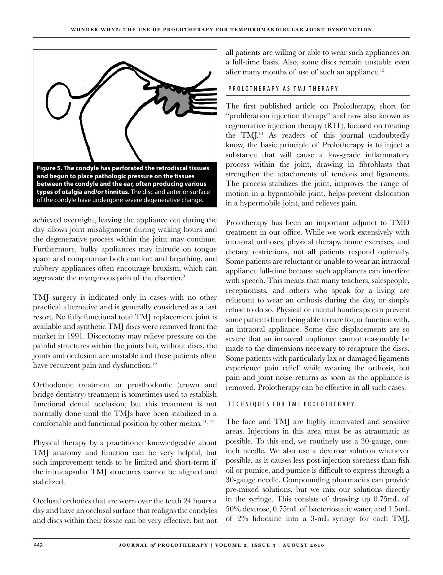

achieved overnight, leaving the appliance out during the day allows joint misalignment during waking hours and the degenerative process within the joint may continue. Furthermore, bulky appliances may intrude on tongue space and compromise both comfort and breathing, and rubbery appliances often encourage bruxism, which can aggravate the myogenous pain of the disorder.9

TMJ surgery is indicated only in cases with no other practical alternative and is generally considered as a last resort. No fully functional total TMJ replacement joint is available and synthetic TMJ discs were removed from the market in 1991. Discectomy may relieve pressure on the painful structures within the joints but, without discs, the joints and occlusion are unstable and these patients often have recurrent pain and dysfunction.<sup>10</sup>

Orthodontic treatment or prosthodontic (crown and bridge dentistry) treatment is sometimes used to establish functional dental occlusion, but this treatment is not normally done until the TMJs have been stabilized in a comfortable and functional position by other means.<sup>11, 12</sup>

Physical therapy by a practitioner knowledgeable about TMJ anatomy and function can be very helpful, but such improvement tends to be limited and short-term if the intracapsular TMJ structures cannot be aligned and stabilized.

Occlusal orthotics that are worn over the teeth 24 hours a day and have an occlusal surface that realigns the condyles and discs within their fossae can be very effective, but not all patients are willing or able to wear such appliances on a full-time basis. Also, some discs remain unstable even after many months of use of such an appliance.<sup>13</sup>

#### PROLOTHERAPY AS TMJ THERAPY

The first published article on Prolotherapy, short for "proliferation injection therapy" and now also known as regenerative injection therapy (RIT), focused on treating the  $TML<sup>14</sup>$  As readers of this journal undoubtedly know, the basic principle of Prolotherapy is to inject a substance that will cause a low-grade inflammatory process within the joint, drawing in fibroblasts that strengthen the attachments of tendons and ligaments. The process stabilizes the joint, improves the range of motion in a hypomobile joint, helps prevent dislocation in a hypermobile joint, and relieves pain.

Prolotherapy has been an important adjunct to TMD treatment in our office. While we work extensively with intraoral orthoses, physical therapy, home exercises, and dietary restrictions, not all patients respond optimally. Some patients are reluctant or unable to wear an intraoral appliance full-time because such appliances can interfere with speech. This means that many teachers, salespeople, receptionists, and others who speak for a living are reluctant to wear an orthosis during the day, or simply refuse to do so. Physical or mental handicaps can prevent some patients from being able to care for, or function with, an intraoral appliance. Some disc displacements are so severe that an intraoral appliance cannot reasonably be made to the dimensions necessary to recapture the discs. Some patients with particularly lax or damaged ligaments experience pain relief while wearing the orthosis, but pain and joint noise returns as soon as the appliance is removed. Prolotherapy can be effective in all such cases.

#### TECHNIQUES FOR TMJ PROLOTHERAPY

The face and TMJ are highly innervated and sensitive areas. Injections in this area must be as atraumatic as possible. To this end, we routinely use a 30-gauge, oneinch needle. We also use a dextrose solution whenever possible, as it causes less post-injection soreness than fish oil or pumice, and pumice is difficult to express through a 30-gauge needle. Compounding pharmacies can provide pre-mixed solutions, but we mix our solutions directly in the syringe. This consists of drawing up 0.75mL of 50% dextrose, 0.75mL of bacteriostatic water, and 1.5mL of 2% lidocaine into a 3-mL syringe for each TMJ.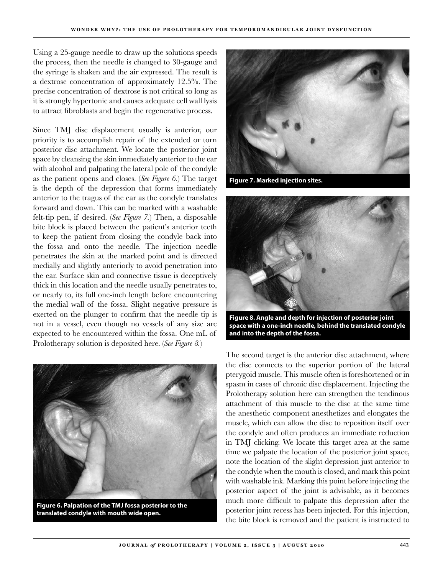Using a 25-gauge needle to draw up the solutions speeds the process, then the needle is changed to 30-gauge and the syringe is shaken and the air expressed. The result is a dextrose concentration of approximately 12.5%. The precise concentration of dextrose is not critical so long as it is strongly hypertonic and causes adequate cell wall lysis to attract fibroblasts and begin the regenerative process.

Since TMJ disc displacement usually is anterior, our priority is to accomplish repair of the extended or torn posterior disc attachment. We locate the posterior joint space by cleansing the skin immediately anterior to the ear with alcohol and palpating the lateral pole of the condyle as the patient opens and closes. (*See Figure 6.*) The target is the depth of the depression that forms immediately anterior to the tragus of the ear as the condyle translates forward and down. This can be marked with a washable felt-tip pen, if desired. (*See Figure 7.*) Then, a disposable bite block is placed between the patient's anterior teeth to keep the patient from closing the condyle back into the fossa and onto the needle. The injection needle penetrates the skin at the marked point and is directed medially and slightly anteriorly to avoid penetration into the ear. Surface skin and connective tissue is deceptively thick in this location and the needle usually penetrates to, or nearly to, its full one-inch length before encountering the medial wall of the fossa. Slight negative pressure is exerted on the plunger to confirm that the needle tip is not in a vessel, even though no vessels of any size are expected to be encountered within the fossa. One mL of Prolotherapy solution is deposited here. (*See Figure 8.*)



**Figure 6. Palpation of the TMJ fossa posterior to the translated condyle with mouth wide open.**



**Figure 7. Marked injection sites.**



**Figure 8. Angle and depth for injection of posterior joint space with a one-inch needle, behind the translated condyle and into the depth of the fossa.**

The second target is the anterior disc attachment, where the disc connects to the superior portion of the lateral pterygoid muscle. This muscle often is foreshortened or in spasm in cases of chronic disc displacement. Injecting the Prolotherapy solution here can strengthen the tendinous attachment of this muscle to the disc at the same time the anesthetic component anesthetizes and elongates the muscle, which can allow the disc to reposition itself over the condyle and often produces an immediate reduction in TMJ clicking. We locate this target area at the same time we palpate the location of the posterior joint space, note the location of the slight depression just anterior to the condyle when the mouth is closed, and mark this point with washable ink. Marking this point before injecting the posterior aspect of the joint is advisable, as it becomes much more difficult to palpate this depression after the posterior joint recess has been injected. For this injection, the bite block is removed and the patient is instructed to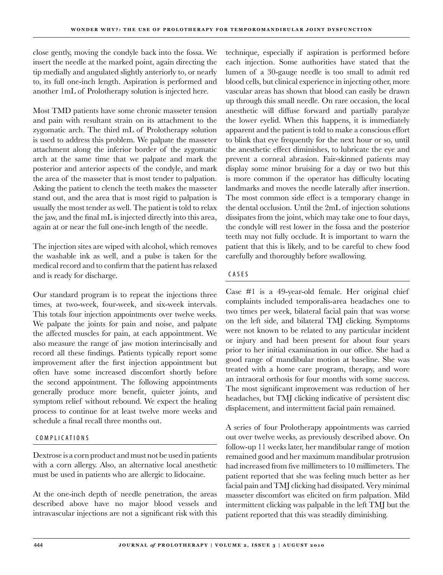close gently, moving the condyle back into the fossa. We insert the needle at the marked point, again directing the tip medially and angulated slightly anteriorly to, or nearly to, its full one-inch length. Aspiration is performed and another 1mL of Prolotherapy solution is injected here.

Most TMD patients have some chronic masseter tension and pain with resultant strain on its attachment to the zygomatic arch. The third mL of Prolotherapy solution is used to address this problem. We palpate the masseter attachment along the inferior border of the zygomatic arch at the same time that we palpate and mark the posterior and anterior aspects of the condyle, and mark the area of the masseter that is most tender to palpation. Asking the patient to clench the teeth makes the masseter stand out, and the area that is most rigid to palpation is usually the most tender as well. The patient is told to relax the jaw, and the final mL is injected directly into this area, again at or near the full one-inch length of the needle.

The injection sites are wiped with alcohol, which removes the washable ink as well, and a pulse is taken for the medical record and to confirm that the patient has relaxed and is ready for discharge.

Our standard program is to repeat the injections three times, at two-week, four-week, and six-week intervals. This totals four injection appointments over twelve weeks. We palpate the joints for pain and noise, and palpate the affected muscles for pain, at each appointment. We also measure the range of jaw motion interincisally and record all these findings. Patients typically report some improvement after the first injection appointment but often have some increased discomfort shortly before the second appointment. The following appointments generally produce more benefit, quieter joints, and symptom relief without rebound. We expect the healing process to continue for at least twelve more weeks and schedule a final recall three months out.

## COMPLICATIONS

Dextrose is a corn product and must not be used in patients with a corn allergy. Also, an alternative local anesthetic must be used in patients who are allergic to lidocaine.

At the one-inch depth of needle penetration, the areas described above have no major blood vessels and intravascular injections are not a significant risk with this

technique, especially if aspiration is performed before each injection. Some authorities have stated that the lumen of a 30-gauge needle is too small to admit red blood cells, but clinical experience in injecting other, more vascular areas has shown that blood can easily be drawn up through this small needle. On rare occasion, the local anesthetic will diffuse forward and partially paralyze the lower eyelid. When this happens, it is immediately apparent and the patient is told to make a conscious effort to blink that eye frequently for the next hour or so, until the anesthetic effect diminishes, to lubricate the eye and prevent a corneal abrasion. Fair-skinned patients may display some minor bruising for a day or two but this is more common if the operator has difficulty locating landmarks and moves the needle laterally after insertion. The most common side effect is a temporary change in the dental occlusion. Until the 2mL of injection solutions dissipates from the joint, which may take one to four days, the condyle will rest lower in the fossa and the posterior teeth may not fully occlude. It is important to warn the patient that this is likely, and to be careful to chew food carefully and thoroughly before swallowing.

## CAS E S

Case #1 is a 49-year-old female. Her original chief complaints included temporalis-area headaches one to two times per week, bilateral facial pain that was worse on the left side, and bilateral TMJ clicking. Symptoms were not known to be related to any particular incident or injury and had been present for about four years prior to her initial examination in our office. She had a good range of mandibular motion at baseline. She was treated with a home care program, therapy, and wore an intraoral orthosis for four months with some success. The most significant improvement was reduction of her headaches, but TMJ clicking indicative of persistent disc displacement, and intermittent facial pain remained.

A series of four Prolotherapy appointments was carried out over twelve weeks, as previously described above. On follow-up 11 weeks later, her mandibular range of motion remained good and her maximum mandibular protrusion had increased from five millimeters to 10 millimeters. The patient reported that she was feeling much better as her facial pain and TMJ clicking had dissipated. Very minimal masseter discomfort was elicited on firm palpation. Mild intermittent clicking was palpable in the left TMJ but the patient reported that this was steadily diminishing.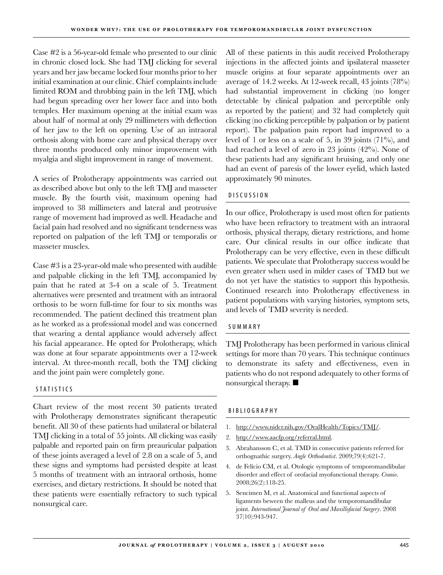Case #2 is a 56-year-old female who presented to our clinic in chronic closed lock. She had TMJ clicking for several years and her jaw became locked four months prior to her initial examination at our clinic. Chief complaints include limited ROM and throbbing pain in the left TMJ, which had begun spreading over her lower face and into both temples. Her maximum opening at the initial exam was about half of normal at only 29 millimeters with deflection of her jaw to the left on opening. Use of an intraoral orthosis along with home care and physical therapy over three months produced only minor improvement with myalgia and slight improvement in range of movement.

A series of Prolotherapy appointments was carried out as described above but only to the left TMJ and masseter muscle. By the fourth visit, maximum opening had improved to 38 millimeters and lateral and protrusive range of movement had improved as well. Headache and facial pain had resolved and no significant tenderness was reported on palpation of the left TMJ or temporalis or masseter muscles.

Case #3 is a 23-year-old male who presented with audible and palpable clicking in the left TMJ, accompanied by pain that he rated at 3-4 on a scale of 5. Treatment alternatives were presented and treatment with an intraoral orthosis to be worn full-time for four to six months was recommended. The patient declined this treatment plan as he worked as a professional model and was concerned that wearing a dental appliance would adversely affect his facial appearance. He opted for Prolotherapy, which was done at four separate appointments over a 12-week interval. At three-month recall, both the TMJ clicking and the joint pain were completely gone.

## S TATISTICS

Chart review of the most recent 30 patients treated with Prolotherapy demonstrates significant therapeutic benefit. All 30 of these patients had unilateral or bilateral TMJ clicking in a total of 55 joints. All clicking was easily palpable and reported pain on firm preauricular palpation of these joints averaged a level of 2.8 on a scale of 5, and these signs and symptoms had persisted despite at least 5 months of treatment with an intraoral orthosis, home exercises, and dietary restrictions. It should be noted that these patients were essentially refractory to such typical nonsurgical care.

All of these patients in this audit received Prolotherapy injections in the affected joints and ipsilateral masseter muscle origins at four separate appointments over an average of 14.2 weeks. At 12-week recall, 43 joints (78%) had substantial improvement in clicking (no longer detectable by clinical palpation and perceptible only as reported by the patient) and 32 had completely quit clicking (no clicking perceptible by palpation or by patient report). The palpation pain report had improved to a level of 1 or less on a scale of 5, in 39 joints (71%), and had reached a level of zero in 23 joints (42%). None of these patients had any significant bruising, and only one had an event of paresis of the lower eyelid, which lasted approximately 90 minutes.

#### D ISCUSSION

In our office, Prolotherapy is used most often for patients who have been refractory to treatment with an intraoral orthosis, physical therapy, dietary restrictions, and home care. Our clinical results in our office indicate that Prolotherapy can be very effective, even in these difficult patients. We speculate that Prolotherapy success would be even greater when used in milder cases of TMD but we do not yet have the statistics to support this hypothesis. Continued research into Prolotherapy effectiveness in patient populations with varying histories, symptom sets, and levels of TMD severity is needed.

#### **SUMMARY**

TMJ Prolotherapy has been performed in various clinical settings for more than 70 years. This technique continues to demonstrate its safety and effectiveness, even in patients who do not respond adequately to other forms of nonsurgical therapy.  $\blacksquare$ 

#### B I B LIOGRAPHY

- 1. http://www.nidcr.nih.gov/OralHealth/Topics/TMJ/.
- 2. http://www.aacfp.org/referral.html.
- Abrahansson C, et al. TMD in consecutive patients referred for 3. orthognathic surgery. *Angle Orthodontist*. 2009;79(4):621-7.
- 4. de Felício CM, et al. Otologic symptoms of temporomandibular disorder and effect of orofacial myofunctional therapy. *Cranio*. 2008;26(2):118-25.
- 5. Sencimen M, et al. Anatomical and functional aspects of ligaments beween the malleus and the temporomandibular joint. *International Journal of Oral and Maxillofacial Surgery*. 2008 37(10):943-947.